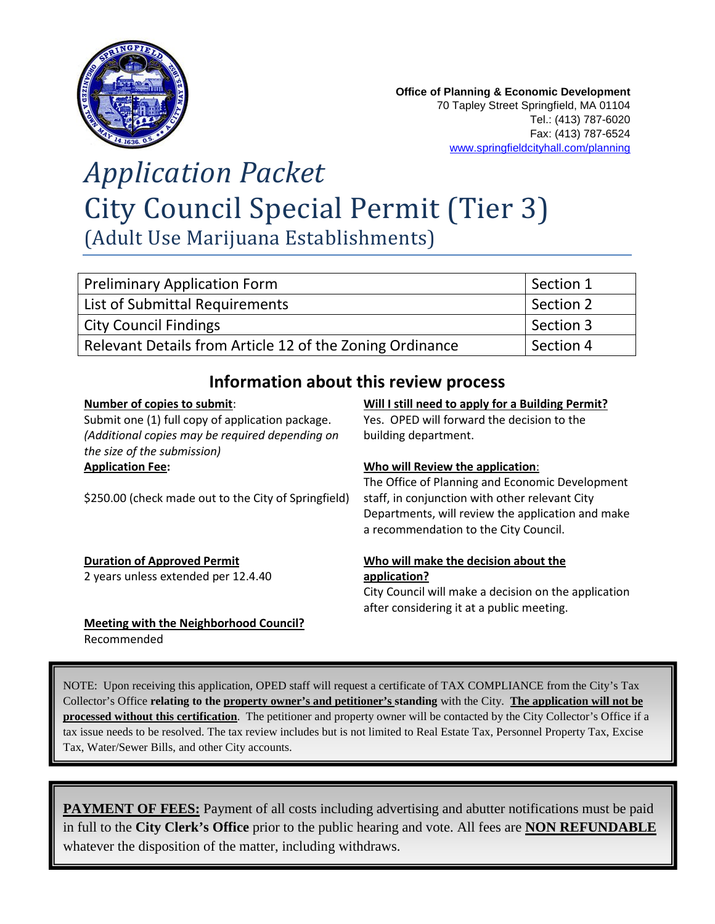

# *Application Packet* City Council Special Permit (Tier 3) (Adult Use Marijuana Establishments)

| Preliminary Application Form                             | Section 1 |
|----------------------------------------------------------|-----------|
| List of Submittal Requirements                           | Section 2 |
| <b>City Council Findings</b>                             | Section 3 |
| Relevant Details from Article 12 of the Zoning Ordinance | Section 4 |

### **Information about this review process**

### **Number of copies to submit**:

Submit one (1) full copy of application package. *(Additional copies may be required depending on the size of the submission)* **Application Fee:** 

\$250.00 (check made out to the City of Springfield)

### **Duration of Approved Permit**

2 years unless extended per 12.4.40

**Meeting with the Neighborhood Council?** Recommended

#### **Will I still need to apply for a Building Permit?**

Yes. OPED will forward the decision to the building department.

### **Who will Review the application**:

The Office of Planning and Economic Development staff, in conjunction with other relevant City Departments, will review the application and make a recommendation to the City Council.

#### **Who will make the decision about the application?**

City Council will make a decision on the application after considering it at a public meeting.

NOTE: Upon receiving this application, OPED staff will request a certificate of TAX COMPLIANCE from the City's Tax Collector's Office **relating to the property owner's and petitioner's standing** with the City. **The application will not be processed without this certification**. The petitioner and property owner will be contacted by the City Collector's Office if a tax issue needs to be resolved. The tax review includes but is not limited to Real Estate Tax, Personnel Property Tax, Excise Tax, Water/Sewer Bills, and other City accounts.

**PAYMENT OF FEES:** Payment of all costs including advertising and abutter notifications must be paid in full to the **City Clerk's Office** prior to the public hearing and vote. All fees are **NON REFUNDABLE** whatever the disposition of the matter, including withdraws.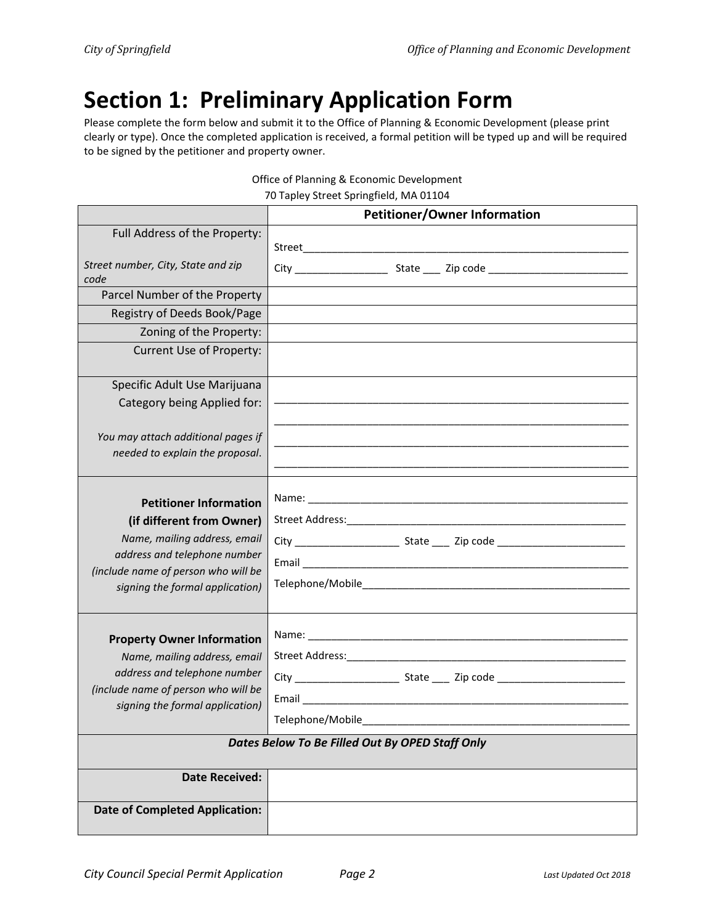## **Section 1: Preliminary Application Form**

Please complete the form below and submit it to the Office of Planning & Economic Development (please print clearly or type). Once the completed application is received, a formal petition will be typed up and will be required to be signed by the petitioner and property owner.

| $\epsilon$ or Fighting & Economic Development<br>70 Tapley Street Springfield, MA 01104                                                                                                              |                                                             |  |  |  |  |  |  |
|------------------------------------------------------------------------------------------------------------------------------------------------------------------------------------------------------|-------------------------------------------------------------|--|--|--|--|--|--|
|                                                                                                                                                                                                      | <b>Petitioner/Owner Information</b>                         |  |  |  |  |  |  |
| Full Address of the Property:                                                                                                                                                                        |                                                             |  |  |  |  |  |  |
| Street number, City, State and zip<br>code                                                                                                                                                           |                                                             |  |  |  |  |  |  |
| Parcel Number of the Property                                                                                                                                                                        |                                                             |  |  |  |  |  |  |
| Registry of Deeds Book/Page                                                                                                                                                                          |                                                             |  |  |  |  |  |  |
| Zoning of the Property:                                                                                                                                                                              |                                                             |  |  |  |  |  |  |
| Current Use of Property:                                                                                                                                                                             |                                                             |  |  |  |  |  |  |
| Specific Adult Use Marijuana                                                                                                                                                                         |                                                             |  |  |  |  |  |  |
| Category being Applied for:                                                                                                                                                                          | <u> 1989 - Johann Stoff, amerikansk politiker (d. 1989)</u> |  |  |  |  |  |  |
| You may attach additional pages if                                                                                                                                                                   |                                                             |  |  |  |  |  |  |
| needed to explain the proposal.                                                                                                                                                                      |                                                             |  |  |  |  |  |  |
| <b>Petitioner Information</b><br>(if different from Owner)<br>Name, mailing address, email<br>address and telephone number<br>(include name of person who will be<br>signing the formal application) |                                                             |  |  |  |  |  |  |
| <b>Property Owner Information</b><br>Name, mailing address, email<br>address and telephone number<br>(include name of person who will be<br>signing the formal application)                          | Email<br>Telephone/Mobile                                   |  |  |  |  |  |  |
| Dates Below To Be Filled Out By OPED Staff Only                                                                                                                                                      |                                                             |  |  |  |  |  |  |
| <b>Date Received:</b>                                                                                                                                                                                |                                                             |  |  |  |  |  |  |
| <b>Date of Completed Application:</b>                                                                                                                                                                |                                                             |  |  |  |  |  |  |

|  |  | Office of Planning & Economic Development |  |
|--|--|-------------------------------------------|--|
|  |  |                                           |  |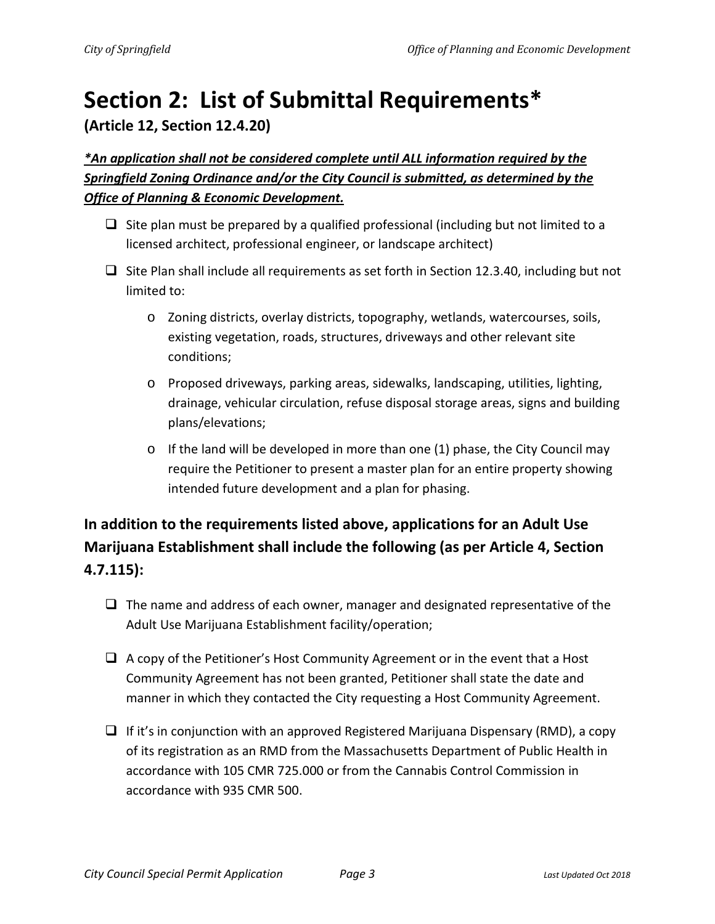# **Section 2: List of Submittal Requirements\***

**(Article 12, Section 12.4.20)**

*\*An application shall not be considered complete until ALL information required by the Springfield Zoning Ordinance and/or the City Council is submitted, as determined by the Office of Planning & Economic Development.*

- $\Box$  Site plan must be prepared by a qualified professional (including but not limited to a licensed architect, professional engineer, or landscape architect)
- $\Box$  Site Plan shall include all requirements as set forth in Section 12.3.40, including but not limited to:
	- o Zoning districts, overlay districts, topography, wetlands, watercourses, soils, existing vegetation, roads, structures, driveways and other relevant site conditions;
	- o Proposed driveways, parking areas, sidewalks, landscaping, utilities, lighting, drainage, vehicular circulation, refuse disposal storage areas, signs and building plans/elevations;
	- $\circ$  If the land will be developed in more than one (1) phase, the City Council may require the Petitioner to present a master plan for an entire property showing intended future development and a plan for phasing.

## **In addition to the requirements listed above, applications for an Adult Use Marijuana Establishment shall include the following (as per Article 4, Section 4.7.115):**

- $\Box$  The name and address of each owner, manager and designated representative of the Adult Use Marijuana Establishment facility/operation;
- $\Box$  A copy of the Petitioner's Host Community Agreement or in the event that a Host Community Agreement has not been granted, Petitioner shall state the date and manner in which they contacted the City requesting a Host Community Agreement.
- $\Box$  If it's in conjunction with an approved Registered Marijuana Dispensary (RMD), a copy of its registration as an RMD from the Massachusetts Department of Public Health in accordance with 105 CMR 725.000 or from the Cannabis Control Commission in accordance with 935 CMR 500.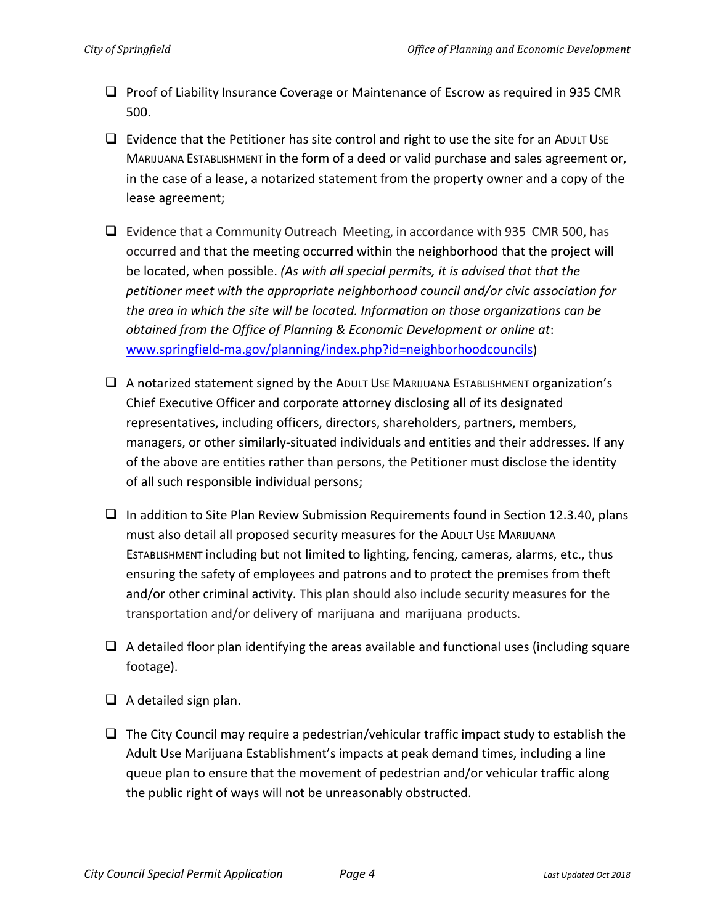- $\Box$  Proof of Liability Insurance Coverage or Maintenance of Escrow as required in 935 CMR 500.
- $\Box$  Evidence that the Petitioner has site control and right to use the site for an ADULT USE MARIJUANA ESTABLISHMENT in the form of a deed or valid purchase and sales agreement or, in the case of a lease, a notarized statement from the property owner and a copy of the lease agreement;
- $\Box$  Evidence that a Community Outreach Meeting, in accordance with 935 CMR 500, has occurred and that the meeting occurred within the neighborhood that the project will be located, when possible. *(As with all special permits, it is advised that that the petitioner meet with the appropriate neighborhood council and/or civic association for the area in which the site will be located. Information on those organizations can be obtained from the Office of Planning & Economic Development or online at*: [www.springfield-ma.gov/planning/index.php?id=neighborhoodcouncils\)](http://www.springfield-ma.gov/planning/index.php?id=neighborhoodcouncils)
- $\Box$  A notarized statement signed by the ADULT USE MARIJUANA ESTABLISHMENT organization's Chief Executive Officer and corporate attorney disclosing all of its designated representatives, including officers, directors, shareholders, partners, members, managers, or other similarly-situated individuals and entities and their addresses. If any of the above are entities rather than persons, the Petitioner must disclose the identity of all such responsible individual persons;
- $\Box$  In addition to Site Plan Review Submission Requirements found in Section 12.3.40, plans must also detail all proposed security measures for the ADULT USE MARIJUANA ESTABLISHMENT including but not limited to lighting, fencing, cameras, alarms, etc., thus ensuring the safety of employees and patrons and to protect the premises from theft and/or other criminal activity. This plan should also include security measures for the transportation and/or delivery of marijuana and marijuana products.
- $\Box$  A detailed floor plan identifying the areas available and functional uses (including square footage).
- $\Box$  A detailed sign plan.
- $\Box$  The City Council may require a pedestrian/vehicular traffic impact study to establish the Adult Use Marijuana Establishment's impacts at peak demand times, including a line queue plan to ensure that the movement of pedestrian and/or vehicular traffic along the public right of ways will not be unreasonably obstructed.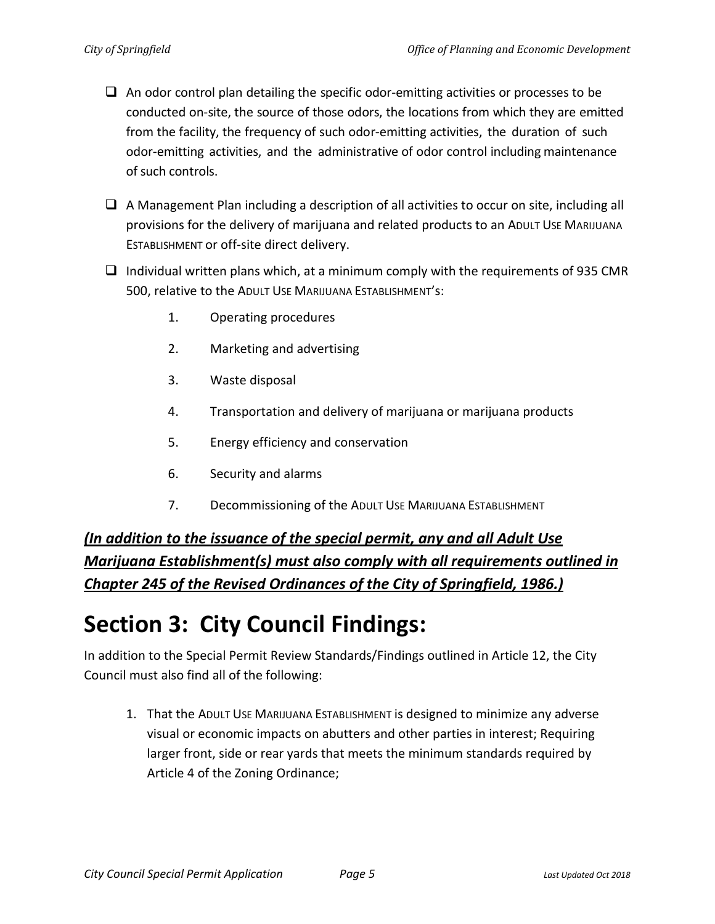- $\Box$  An odor control plan detailing the specific odor-emitting activities or processes to be conducted on-site, the source of those odors, the locations from which they are emitted from the facility, the frequency of such odor-emitting activities, the duration of such odor-emitting activities, and the administrative of odor control including maintenance of such controls.
- $\Box$  A Management Plan including a description of all activities to occur on site, including all provisions for the delivery of marijuana and related products to an ADULT USE MARIJUANA ESTABLISHMENT or off-site direct delivery.
- $\Box$  Individual written plans which, at a minimum comply with the requirements of 935 CMR 500, relative to the ADULT USE MARIJUANA ESTABLISHMENT's:
	- 1. Operating procedures
	- 2. Marketing and advertising
	- 3. Waste disposal
	- 4. Transportation and delivery of marijuana or marijuana products
	- 5. Energy efficiency and conservation
	- 6. Security and alarms
	- 7. Decommissioning of the ADULT USE MARIJUANA ESTABLISHMENT

*(In addition to the issuance of the special permit, any and all Adult Use Marijuana Establishment(s) must also comply with all requirements outlined in Chapter 245 of the Revised Ordinances of the City of Springfield, 1986.)*

## **Section 3: City Council Findings:**

In addition to the Special Permit Review Standards/Findings outlined in Article 12, the City Council must also find all of the following:

1. That the ADULT USE MARIJUANA ESTABLISHMENT is designed to minimize any adverse visual or economic impacts on abutters and other parties in interest; Requiring larger front, side or rear yards that meets the minimum standards required by Article 4 of the Zoning Ordinance;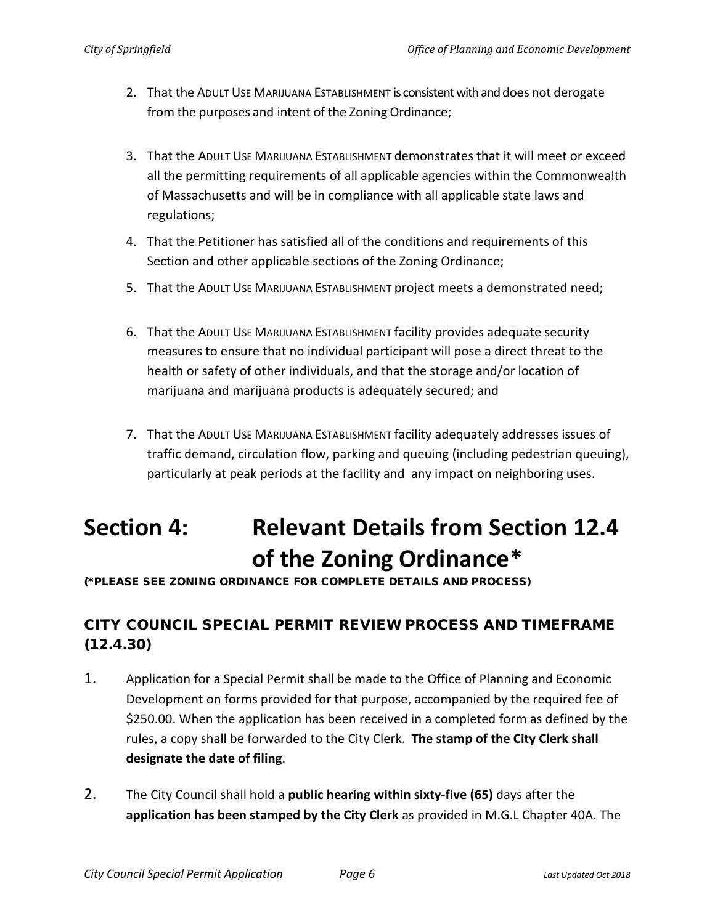- 2. That the ADULT USE MARIJUANA ESTABLISHMENT is consistent with and does not derogate from the purposes and intent of the Zoning Ordinance;
- 3. That the ADULT USE MARIJUANA ESTABLISHMENT demonstrates that it will meet or exceed all the permitting requirements of all applicable agencies within the Commonwealth of Massachusetts and will be in compliance with all applicable state laws and regulations;
- 4. That the Petitioner has satisfied all of the conditions and requirements of this Section and other applicable sections of the Zoning Ordinance;
- 5. That the ADULT USE MARIJUANA ESTABLISHMENT project meets a demonstrated need;
- 6. That the ADULT USE MARIJUANA ESTABLISHMENT facility provides adequate security measures to ensure that no individual participant will pose a direct threat to the health or safety of other individuals, and that the storage and/or location of marijuana and marijuana products is adequately secured; and
- 7. That the ADULT USE MARIJUANA ESTABLISHMENT facility adequately addresses issues of traffic demand, circulation flow, parking and queuing (including pedestrian queuing), particularly at peak periods at the facility and any impact on neighboring uses.

# **Section 4: Relevant Details from Section 12.4 of the Zoning Ordinance\***

(\*PLEASE SEE ZONING ORDINANCE FOR COMPLETE DETAILS AND PROCESS)

### CITY COUNCIL SPECIAL PERMIT REVIEW PROCESS AND TIMEFRAME (12.4.30)

- 1. Application for a Special Permit shall be made to the Office of Planning and Economic Development on forms provided for that purpose, accompanied by the required fee of \$250.00. When the application has been received in a completed form as defined by the rules, a copy shall be forwarded to the City Clerk. **The stamp of the City Clerk shall designate the date of filing**.
- 2. The City Council shall hold a **public hearing within sixty-five (65)** days after the **application has been stamped by the City Clerk** as provided in M.G.L Chapter 40A. The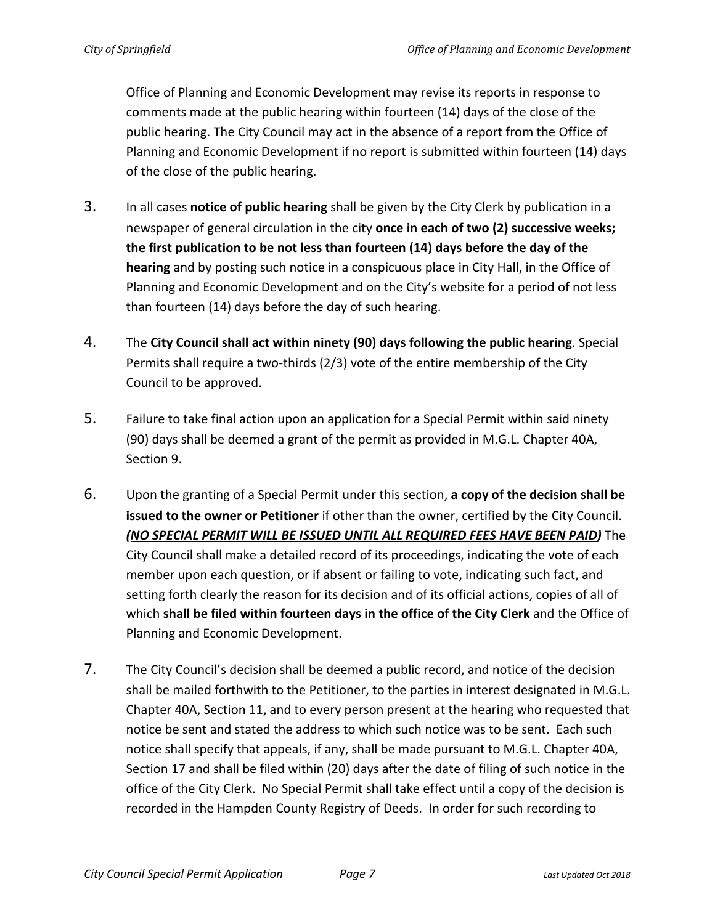Office of Planning and Economic Development may revise its reports in response to comments made at the public hearing within fourteen (14) days of the close of the public hearing. The City Council may act in the absence of a report from the Office of Planning and Economic Development if no report is submitted within fourteen (14) days of the close of the public hearing.

- 3. In all cases **notice of public hearing** shall be given by the City Clerk by publication in a newspaper of general circulation in the city **once in each of two (2) successive weeks; the first publication to be not less than fourteen (14) days before the day of the hearing** and by posting such notice in a conspicuous place in City Hall, in the Office of Planning and Economic Development and on the City's website for a period of not less than fourteen (14) days before the day of such hearing.
- 4. The **City Council shall act within ninety (90) days following the public hearing**. Special Permits shall require a two-thirds (2/3) vote of the entire membership of the City Council to be approved.
- 5. Failure to take final action upon an application for a Special Permit within said ninety (90) days shall be deemed a grant of the permit as provided in M.G.L. Chapter 40A, Section 9.
- 6. Upon the granting of a Special Permit under this section, **a copy of the decision shall be issued to the owner or Petitioner** if other than the owner, certified by the City Council. *(NO SPECIAL PERMIT WILL BE ISSUED UNTIL ALL REQUIRED FEES HAVE BEEN PAID)* The City Council shall make a detailed record of its proceedings, indicating the vote of each member upon each question, or if absent or failing to vote, indicating such fact, and setting forth clearly the reason for its decision and of its official actions, copies of all of which **shall be filed within fourteen days in the office of the City Clerk** and the Office of Planning and Economic Development.
- 7. The City Council's decision shall be deemed a public record, and notice of the decision shall be mailed forthwith to the Petitioner, to the parties in interest designated in M.G.L. Chapter 40A, Section 11, and to every person present at the hearing who requested that notice be sent and stated the address to which such notice was to be sent. Each such notice shall specify that appeals, if any, shall be made pursuant to M.G.L. Chapter 40A, Section 17 and shall be filed within (20) days after the date of filing of such notice in the office of the City Clerk. No Special Permit shall take effect until a copy of the decision is recorded in the Hampden County Registry of Deeds. In order for such recording to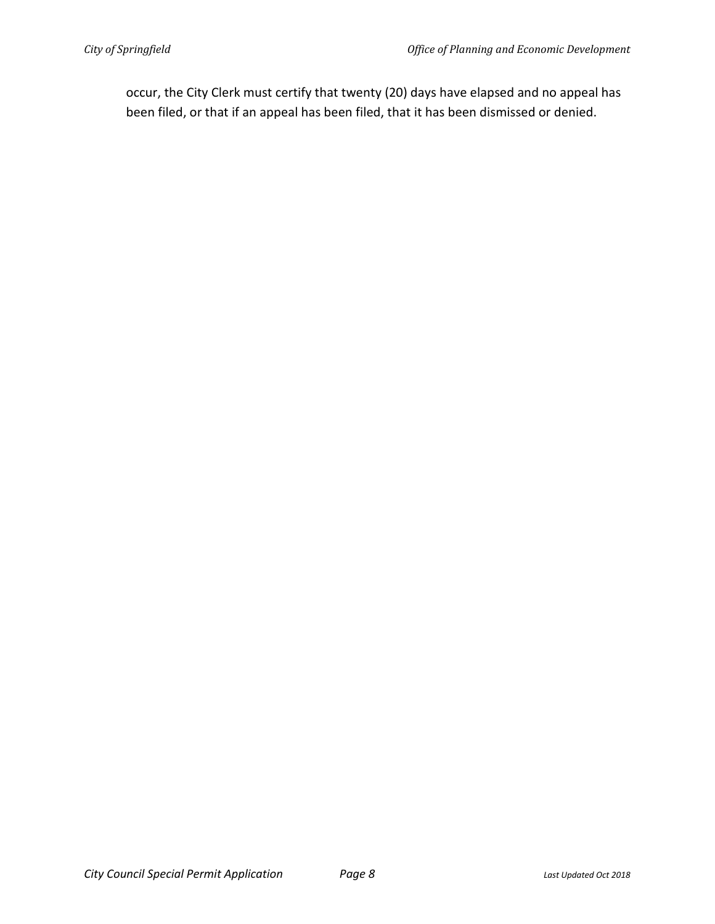occur, the City Clerk must certify that twenty (20) days have elapsed and no appeal has been filed, or that if an appeal has been filed, that it has been dismissed or denied.